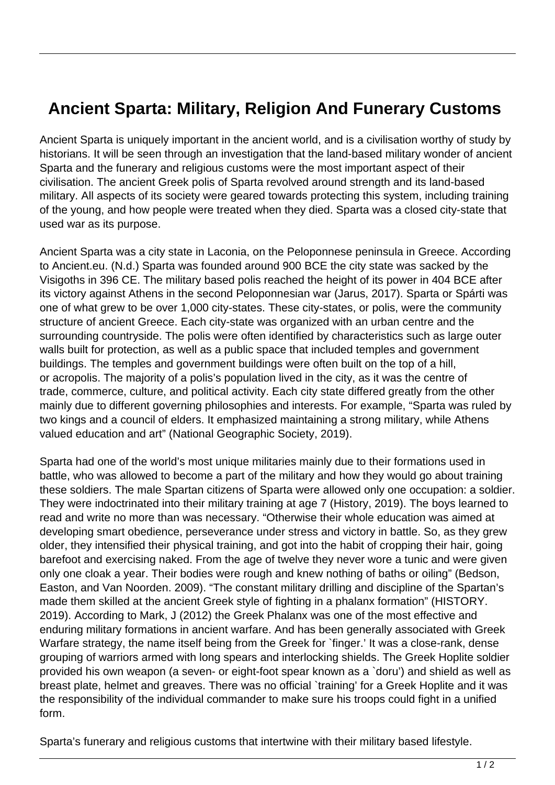## **Ancient Sparta: Military, Religion And Funerary Customs**

Ancient Sparta is uniquely important in the ancient world, and is a civilisation worthy of study by historians. It will be seen through an investigation that the land-based military wonder of ancient Sparta and the funerary and religious customs were the most important aspect of their civilisation. The ancient Greek polis of Sparta revolved around strength and its land-based military. All aspects of its society were geared towards protecting this system, including training of the young, and how people were treated when they died. Sparta was a closed city-state that used war as its purpose.

Ancient Sparta was a city state in Laconia, on the Peloponnese peninsula in Greece. According to Ancient.eu. (N.d.) Sparta was founded around 900 BCE the city state was sacked by the Visigoths in 396 CE. The military based polis reached the height of its power in 404 BCE after its victory against Athens in the second Peloponnesian war (Jarus, 2017). Sparta or Spárti was one of what grew to be over 1,000 city-states. These city-states, or polis, were the community structure of ancient Greece. Each city-state was organized with an urban centre and the surrounding countryside. The polis were often identified by characteristics such as large outer walls built for protection, as well as a public space that included temples and government buildings. The temples and government buildings were often built on the top of a hill, or acropolis. The majority of a polis's population lived in the city, as it was the centre of trade, commerce, culture, and political activity. Each city state differed greatly from the other mainly due to different governing philosophies and interests. For example, "Sparta was ruled by two kings and a council of elders. It emphasized maintaining a strong military, while Athens valued education and art" (National Geographic Society, 2019).

Sparta had one of the world's most unique militaries mainly due to their formations used in battle, who was allowed to become a part of the military and how they would go about training these soldiers. The male Spartan citizens of Sparta were allowed only one occupation: a soldier. They were indoctrinated into their military training at age 7 (History, 2019). The boys learned to read and write no more than was necessary. "Otherwise their whole education was aimed at developing smart obedience, perseverance under stress and victory in battle. So, as they grew older, they intensified their physical training, and got into the habit of cropping their hair, going barefoot and exercising naked. From the age of twelve they never wore a tunic and were given only one cloak a year. Their bodies were rough and knew nothing of baths or oiling" (Bedson, Easton, and Van Noorden. 2009). "The constant military drilling and discipline of the Spartan's made them skilled at the ancient Greek style of fighting in a phalanx formation" (HISTORY. 2019). According to Mark, J (2012) the Greek Phalanx was one of the most effective and enduring military formations in ancient warfare. And has been generally associated with Greek Warfare strategy, the name itself being from the Greek for `finger.' It was a close-rank, dense grouping of warriors armed with long spears and interlocking shields. The Greek Hoplite soldier provided his own weapon (a seven- or eight-foot spear known as a `doru') and shield as well as breast plate, helmet and greaves. There was no official `training' for a Greek Hoplite and it was the responsibility of the individual commander to make sure his troops could fight in a unified form.

Sparta's funerary and religious customs that intertwine with their military based lifestyle.